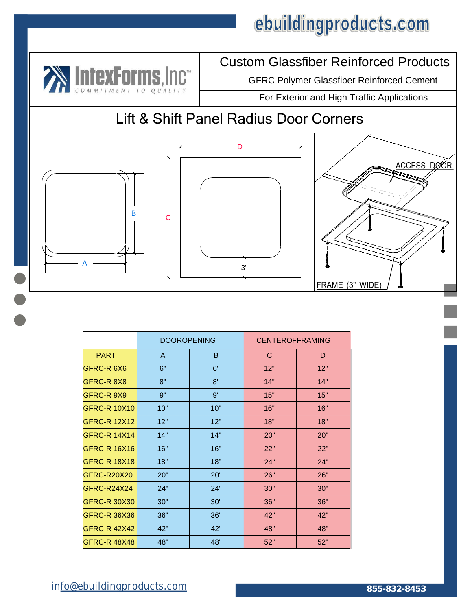

### Custom Glassfiber Reinforced Products

GFRC Polymer Glassfiber Reinforced Cement

For Exterior and High Traffic Applications

### Lift & Shift Panel Radius Door Corners







|                     | <b>DOOROPENING</b> |     | <b>CENTEROFFRAMING</b> |     |
|---------------------|--------------------|-----|------------------------|-----|
| <b>PART</b>         | A                  | B   | C                      | D   |
| GFRC-R 6X6          | 6"                 | 6"  | 12"                    | 12" |
| GFRC-R 8X8          | 8"                 | 8"  | 14"                    | 14" |
| GFRC-R 9X9          | 9"                 | 9"  | 15"                    | 15" |
| <b>GFRC-R 10X10</b> | 10"                | 10" | 16"                    | 16" |
| <b>GFRC-R 12X12</b> | 12"                | 12" | 18"                    | 18" |
| <b>GFRC-R 14X14</b> | 14"                | 14" | 20"                    | 20" |
| <b>GFRC-R 16X16</b> | 16"                | 16" | 22"                    | 22" |
| <b>GFRC-R 18X18</b> | 18"                | 18" | 24"                    | 24" |
| GFRC-R20X20         | 20"                | 20" | 26"                    | 26" |
| GFRC-R24X24         | 24"                | 24" | 30"                    | 30" |
| <b>GFRC-R 30X30</b> | 30"                | 30" | 36"                    | 36" |
| GFRC-R 36X36        | 36"                | 36" | 42"                    | 42" |
| <b>GFRC-R 42X42</b> | 42"                | 42" | 48"                    | 48" |
| <b>GFRC-R 48X48</b> | 48"                | 48" | 52"                    | 52" |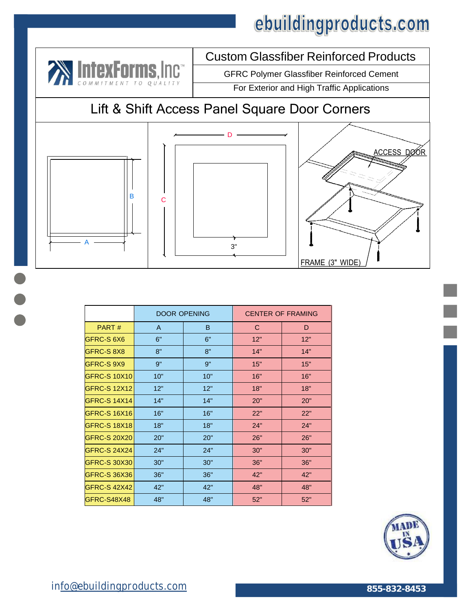Custom Glassfiber Reinforced Products



|                     | <b>DOOR OPENING</b> |     | <b>CENTER OF FRAMING</b> |     |
|---------------------|---------------------|-----|--------------------------|-----|
| PART#               | A                   | B   | C                        | D   |
| GFRC-S 6X6          | 6"                  | 6"  | 12"                      | 12" |
| GFRC-S 8X8          | 8"                  | 8"  | 14"                      | 14" |
| GFRC-S 9X9          | 9"                  | 9"  | 15"                      | 15" |
| <b>GFRC-S 10X10</b> | 10"                 | 10" | 16"                      | 16" |
| <b>GFRC-S 12X12</b> | 12"                 | 12" | 18"                      | 18" |
| <b>GFRC-S 14X14</b> | 14"                 | 14" | 20"                      | 20" |
| <b>GFRC-S 16X16</b> | 16"                 | 16" | 22"                      | 22" |
| <b>GFRC-S 18X18</b> | 18"                 | 18" | 24"                      | 24" |
| <b>GFRC-S 20X20</b> | 20"                 | 20" | 26"                      | 26" |
| <b>GFRC-S 24X24</b> | 24"                 | 24" | 30"                      | 30" |
| GFRC-S 30X30        | 30"                 | 30" | 36"                      | 36" |
| <b>GFRC-S 36X36</b> | 36"                 | 36" | 42"                      | 42" |
| <b>GFRC-S 42X42</b> | 42"                 | 42" | 48"                      | 48" |
| GFRC-S48X48         | 48"                 | 48" | 52"                      | 52" |

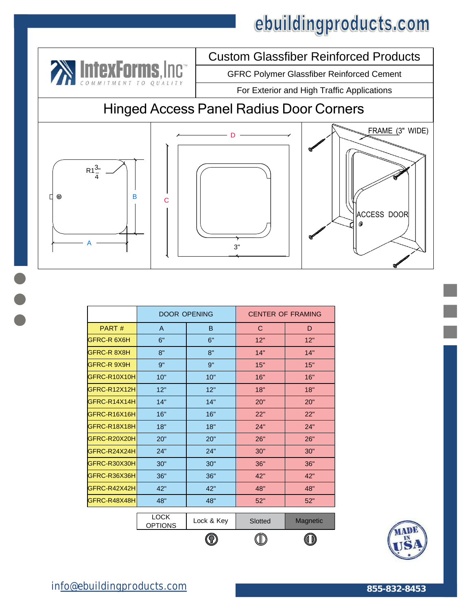

### Custom Glassfiber Reinforced Products

GFRC Polymer Glassfiber Reinforced Cement

For Exterior and High Traffic Applications

### Hinged Access Panel Radius Door Corners







|                    | <b>DOOR OPENING</b>           |            | <b>CENTER OF FRAMING</b> |          |
|--------------------|-------------------------------|------------|--------------------------|----------|
| PART#              | A                             | B          | C                        | D        |
| GFRC-R 6X6H        | 6"                            | 6"         | 12"                      | 12"      |
| GFRC-R 8X8H        | 8"                            | 8"         | 14"                      | 14"      |
| <b>GFRC-R 9X9H</b> | 9"                            | 9"         | 15"                      | 15"      |
| GFRC-R10X10H       | 10"                           | 10"        | 16"                      | 16"      |
| GFRC-R12X12H       | 12"                           | 12"        | 18"                      | 18"      |
| GFRC-R14X14H       | 14"                           | 14"        | 20"                      | 20"      |
| GFRC-R16X16H       | 16"                           | 16"        | 22"                      | 22"      |
| GFRC-R18X18H       | 18"                           | 18"        | 24"                      | 24"      |
| GFRC-R20X20H       | 20"                           | 20"        | 26"                      | 26"      |
| GFRC-R24X24H       | 24"                           | 24"        | 30"                      | 30"      |
| GFRC-R30X30H       | 30"                           | 30"        | 36"                      | 36"      |
| GFRC-R36X36H       | 36"                           | 36"        | 42"                      | 42"      |
| GFRC-R42X42H       | 42"                           | 42"        | 48"                      | 48"      |
| GFRC-R48X48H       | 48"                           | 48"        | 52"                      | 52"      |
|                    | <b>LOCK</b><br><b>OPTIONS</b> | Lock & Key | Slotted                  | Magnetic |
|                    |                               |            |                          |          |

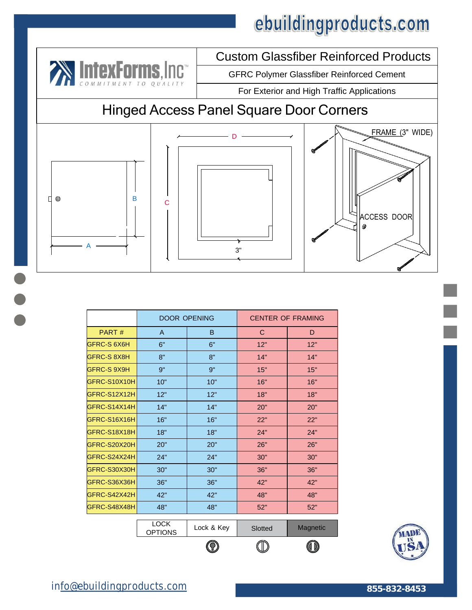Custom Glassfiber Reinforced Products



|              | <b>DOOR OPENING</b>           |            | <b>CENTER OF FRAMING</b> |          |
|--------------|-------------------------------|------------|--------------------------|----------|
| PART#        | A                             | B          | C                        | D        |
| GFRC-S 6X6H  | 6"                            | 6"         | 12"                      | 12"      |
| GFRC-S 8X8H  | 8"                            | 8"         | 14"                      | 14"      |
| GFRC-S 9X9H  | 9"                            | 9"         | 15"                      | 15"      |
| GFRC-S10X10H | 10"                           | 10"        | 16"                      | 16"      |
| GFRC-S12X12H | 12"                           | 12"        | 18"                      | 18"      |
| GFRC-S14X14H | 14"                           | 14"        | 20"                      | 20"      |
| GFRC-S16X16H | 16"                           | 16"        | 22"                      | 22"      |
| GFRC-S18X18H | 18"                           | 18"        | 24"                      | 24"      |
| GFRC-S20X20H | 20"                           | 20"        | 26"                      | 26"      |
| GFRC-S24X24H | 24"                           | 24"        | 30"                      | 30"      |
| GFRC-S30X30H | 30"                           | 30"        | 36"                      | 36"      |
| GFRC-S36X36H | 36"                           | 36"        | 42"                      | 42"      |
| GFRC-S42X42H | 42"                           | 42"        | 48"                      | 48"      |
| GFRC-S48X48H | 48"                           | 48"        | 52"                      | 52"      |
|              |                               |            |                          |          |
|              | <b>LOCK</b><br><b>OPTIONS</b> | Lock & Key | Slotted                  | Magnetic |
|              |                               | $\bf{V}$   |                          | O DJ     |

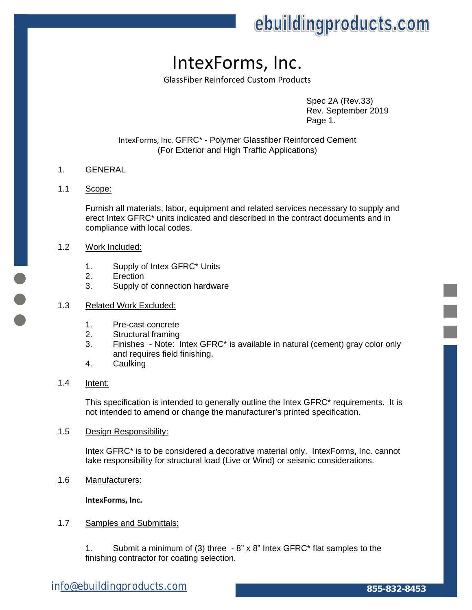### IntexForms, Inc.

GlassFiber Reinforced Custom Products

Spec 2A (Rev.33) Rev. September 2019 Page 1.

IntexForms, Inc. GFRC\* - Polymer Glassfiber Reinforced Cement (For Exterior and High Traffic Applications)

#### 1. GENERAL

#### 1.1 Scope:

Furnish all materials, labor, equipment and related services necessary to supply and erect Intex GFRC\* units indicated and described in the contract documents and in compliance with local codes.

#### 1.2 Work Included:

- 1. Supply of Intex GFRC\* Units
- 2. Erection
- 3. Supply of connection hardware

#### 1.3 Related Work Excluded:

- 1. Pre-cast concrete
- 2. Structural framing
- 3. Finishes Note: Intex GFRC\* is available in natural (cement) gray color only and requires field finishing.
- 4. Caulking

#### 1.4 Intent:

This specification is intended to generally outline the Intex GFRC\* requirements. It is not intended to amend or change the manufacturer's printed specification.

1.5 Design Responsibility:

Intex GFRC\* is to be considered a decorative material only. IntexForms, Inc. cannot take responsibility for structural load (Live or Wind) or seismic considerations.

1.6 Manufacturers:

**IntexForms, Inc.** 

#### 1.7 Samples and Submittals:

Submit a minimum of (3) three  $-8$ " x 8" Intex GFRC\* flat samples to the finishing contractor for coating selection.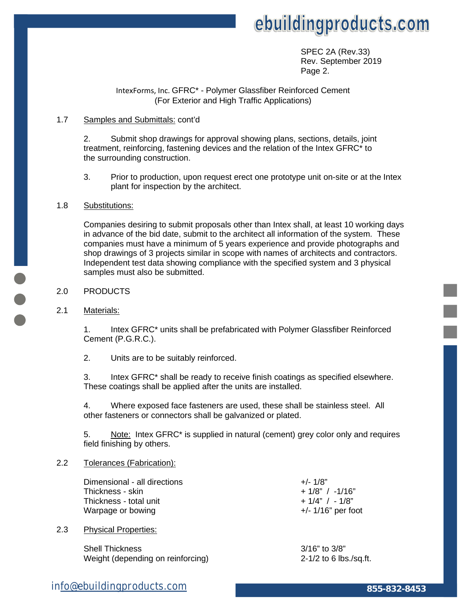

 SPEC 2A (Rev.33) Rev. September 2019 Page 2.

#### IntexForms, Inc. GFRC\* - Polymer Glassfiber Reinforced Cement (For Exterior and High Traffic Applications)

#### 1.7 Samples and Submittals: cont'd

2. Submit shop drawings for approval showing plans, sections, details, joint treatment, reinforcing, fastening devices and the relation of the Intex GFRC\* to the surrounding construction.

3. Prior to production, upon request erect one prototype unit on-site or at the Intex plant for inspection by the architect.

#### 1.8 Substitutions:

Companies desiring to submit proposals other than Intex shall, at least 10 working days in advance of the bid date, submit to the architect all information of the system. These companies must have a minimum of 5 years experience and provide photographs and shop drawings of 3 projects similar in scope with names of architects and contractors. Independent test data showing compliance with the specified system and 3 physical samples must also be submitted.

- 2.0 PRODUCTS
- 2.1 Materials:

1. Intex GFRC\* units shall be prefabricated with Polymer Glassfiber Reinforced Cement (P.G.R.C.).

2. Units are to be suitably reinforced.

3. Intex GFRC\* shall be ready to receive finish coatings as specified elsewhere. These coatings shall be applied after the units are installed.

4. Where exposed face fasteners are used, these shall be stainless steel. All other fasteners or connectors shall be galvanized or plated.

5. Note: Intex GFRC\* is supplied in natural (cement) grey color only and requires field finishing by others.

#### 2.2 Tolerances (Fabrication):

Dimensional - all directions  $+/- 1/8"$ Thickness - skin  $+ 1/8$ " / -1/16" Thickness - total unit  $+ 1/4"$  / -  $1/8"$ Warpage or bowing  $+/-1/16$ " per foot

2.3 Physical Properties:

Shell Thickness 3/16" to 3/8" Weight (depending on reinforcing) 2-1/2 to 6 lbs./sq.ft.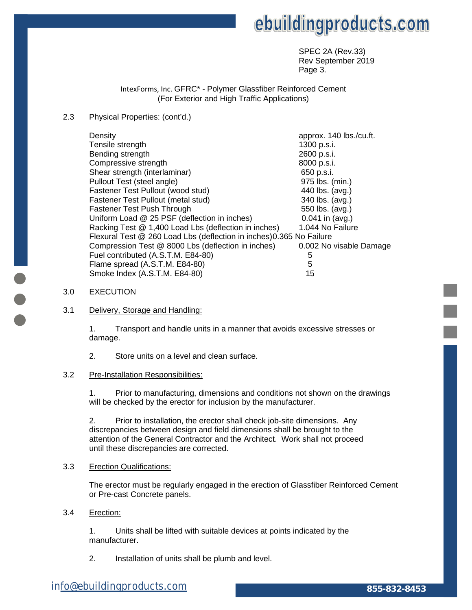SPEC 2A (Rev.33) Rev September 2019 **Page 3.** The contract of the contract of the contract of the Page 3.

> IntexForms, Inc. GFRC\* - Polymer Glassfiber Reinforced Cement (For Exterior and High Traffic Applications)

#### 2.3 Physical Properties: (cont'd.)

| Density                                                              | approx. 140 lbs./cu.ft. |
|----------------------------------------------------------------------|-------------------------|
| Tensile strength                                                     | 1300 p.s.i.             |
| Bending strength                                                     | 2600 p.s.i.             |
| Compressive strength                                                 | 8000 p.s.i.             |
| Shear strength (interlaminar)                                        | 650 p.s.i.              |
| Pullout Test (steel angle)                                           | 975 lbs. (min.)         |
| Fastener Test Pullout (wood stud)                                    | 440 lbs. (avg.)         |
| Fastener Test Pullout (metal stud)                                   | 340 lbs. (avg.)         |
| Fastener Test Push Through                                           | 550 lbs. (avg.)         |
| Uniform Load @ 25 PSF (deflection in inches)                         | $0.041$ in (avg.)       |
| Racking Test @ 1,400 Load Lbs (deflection in inches)                 | 1.044 No Failure        |
| Flexural Test @ 260 Load Lbs (deflection in inches) 0.365 No Failure |                         |
| Compression Test @ 8000 Lbs (deflection in inches)                   | 0.002 No visable Damage |
| Fuel contributed (A.S.T.M. E84-80)                                   | 5                       |
| Flame spread (A.S.T.M. E84-80)                                       | 5                       |
| Smoke Index (A.S.T.M. E84-80)                                        | 15                      |

#### 3.0 EXECUTION

#### 3.1 Delivery, Storage and Handling:

1. Transport and handle units in a manner that avoids excessive stresses or damage.

2. Store units on a level and clean surface.

#### 3.2 Pre-Installation Responsibilities:

1. Prior to manufacturing, dimensions and conditions not shown on the drawings will be checked by the erector for inclusion by the manufacturer.

2. Prior to installation, the erector shall check job-site dimensions. Any discrepancies between design and field dimensions shall be brought to the attention of the General Contractor and the Architect. Work shall not proceed until these discrepancies are corrected.

#### 3.3 Erection Qualifications:

The erector must be regularly engaged in the erection of Glassfiber Reinforced Cement or Pre-cast Concrete panels.

#### 3.4 Erection:

1. Units shall be lifted with suitable devices at points indicated by the manufacturer.

2. Installation of units shall be plumb and level.